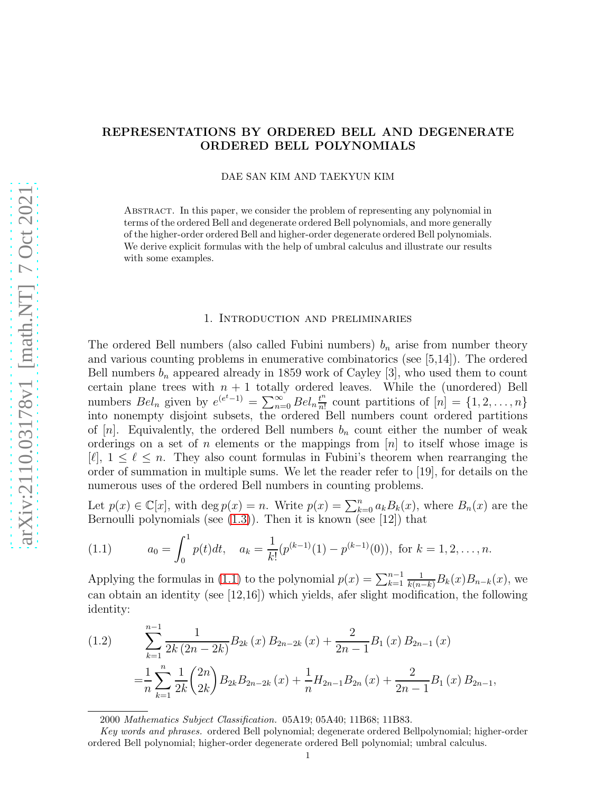# REPRESENTATIONS BY ORDERED BELL AND DEGENERATE ORDERED BELL POLYNOMIALS

DAE SAN KIM AND TAEKYUN KIM

Abstract. In this paper, we consider the problem of representing any polynomial in terms of the ordered Bell and degenerate ordered Bell polynomials, and more generally of the higher-order ordered Bell and higher-order degenerate ordered Bell polynomials. We derive explicit formulas with the help of umbral calculus and illustrate our results with some examples.

#### 1. Introduction and preliminaries

The ordered Bell numbers (also called Fubini numbers)  $b_n$  arise from number theory and various counting problems in enumerative combinatorics (see [5,14]). The ordered Bell numbers  $b_n$  appeared already in 1859 work of Cayley [3], who used them to count certain plane trees with  $n + 1$  totally ordered leaves. While the (unordered) Bell numbers  $Bel_n$  given by  $e^{(e^t-1)} = \sum_{n=0}^{\infty} Bel_n \frac{t^n}{n!}$  $\frac{t^n}{n!}$  count partitions of  $[n] = \{1, 2, \ldots, n\}$ into nonempty disjoint subsets, the ordered Bell numbers count ordered partitions of  $[n]$ . Equivalently, the ordered Bell numbers  $b_n$  count either the number of weak orderings on a set of n elements or the mappings from  $[n]$  to itself whose image is  $[\ell], 1 \leq \ell \leq n$ . They also count formulas in Fubini's theorem when rearranging the order of summation in multiple sums. We let the reader refer to [19], for details on the numerous uses of the ordered Bell numbers in counting problems.

Let  $p(x) \in \mathbb{C}[x]$ , with  $\deg p(x) = n$ . Write  $p(x) = \sum_{k=0}^{n} a_k B_k(x)$ , where  $B_n(x)$  are the Bernoulli polynomials (see  $(1.3)$ ). Then it is known (see [12]) that

<span id="page-0-0"></span>(1.1) 
$$
a_0 = \int_0^1 p(t)dt, \quad a_k = \frac{1}{k!} (p^{(k-1)}(1) - p^{(k-1)}(0)), \text{ for } k = 1, 2, ..., n.
$$

Applying the formulas in [\(1.1\)](#page-0-0) to the polynomial  $p(x) = \sum_{k=1}^{n-1}$  $\frac{1}{k(n-k)}B_k(x)B_{n-k}(x)$ , we can obtain an identity (see [12,16]) which yields, afer slight modification, the following identity:

<span id="page-0-1"></span>(1.2) 
$$
\sum_{k=1}^{n-1} \frac{1}{2k (2n-2k)} B_{2k} (x) B_{2n-2k} (x) + \frac{2}{2n-1} B_1 (x) B_{2n-1} (x)
$$

$$
= \frac{1}{n} \sum_{k=1}^{n} \frac{1}{2k} {2n \choose 2k} B_{2k} B_{2n-2k} (x) + \frac{1}{n} H_{2n-1} B_{2n} (x) + \frac{2}{2n-1} B_1 (x) B_{2n-1},
$$

2000 Mathematics Subject Classification. 05A19; 05A40; 11B68; 11B83.

Key words and phrases. ordered Bell polynomial; degenerate ordered Bellpolynomial; higher-order ordered Bell polynomial; higher-order degenerate ordered Bell polynomial; umbral calculus.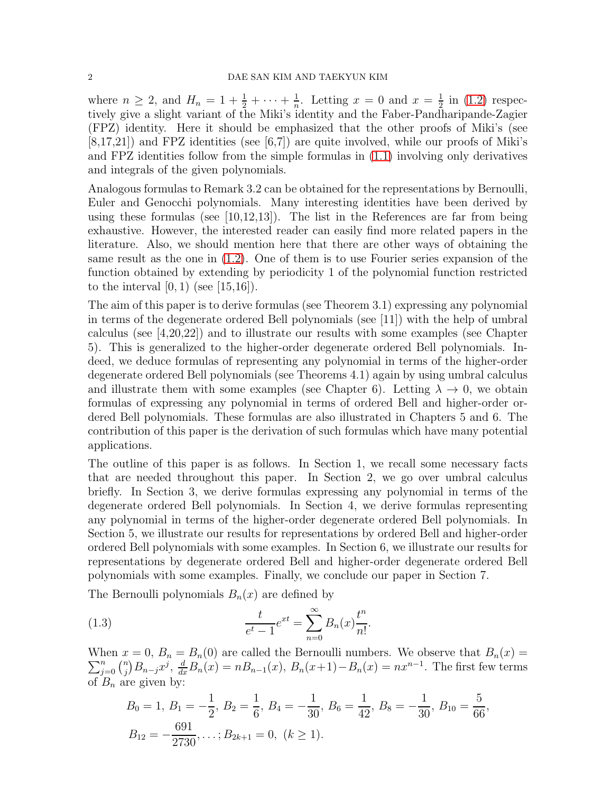where  $n \geq 2$ , and  $H_n = 1 + \frac{1}{2} + \cdots + \frac{1}{n}$  $\frac{1}{n}$ . Letting  $x = 0$  and  $x = \frac{1}{2}$  $\frac{1}{2}$  in  $(1.2)$  respectively give a slight variant of the Miki's identity and the Faber-Pandharipande-Zagier (FPZ) identity. Here it should be emphasized that the other proofs of Miki's (see [8,17,21]) and FPZ identities (see [6,7]) are quite involved, while our proofs of Miki's and FPZ identities follow from the simple formulas in [\(1.1\)](#page-0-0) involving only derivatives and integrals of the given polynomials.

Analogous formulas to Remark 3.2 can be obtained for the representations by Bernoulli, Euler and Genocchi polynomials. Many interesting identities have been derived by using these formulas (see [10,12,13]). The list in the References are far from being exhaustive. However, the interested reader can easily find more related papers in the literature. Also, we should mention here that there are other ways of obtaining the same result as the one in [\(1.2\)](#page-0-1). One of them is to use Fourier series expansion of the function obtained by extending by periodicity 1 of the polynomial function restricted to the interval  $[0, 1)$  (see  $[15, 16]$ ).

The aim of this paper is to derive formulas (see Theorem 3.1) expressing any polynomial in terms of the degenerate ordered Bell polynomials (see [11]) with the help of umbral calculus (see [4,20,22]) and to illustrate our results with some examples (see Chapter 5). This is generalized to the higher-order degenerate ordered Bell polynomials. Indeed, we deduce formulas of representing any polynomial in terms of the higher-order degenerate ordered Bell polynomials (see Theorems 4.1) again by using umbral calculus and illustrate them with some examples (see Chapter 6). Letting  $\lambda \to 0$ , we obtain formulas of expressing any polynomial in terms of ordered Bell and higher-order ordered Bell polynomials. These formulas are also illustrated in Chapters 5 and 6. The contribution of this paper is the derivation of such formulas which have many potential applications.

The outline of this paper is as follows. In Section 1, we recall some necessary facts that are needed throughout this paper. In Section 2, we go over umbral calculus briefly. In Section 3, we derive formulas expressing any polynomial in terms of the degenerate ordered Bell polynomials. In Section 4, we derive formulas representing any polynomial in terms of the higher-order degenerate ordered Bell polynomials. In Section 5, we illustrate our results for representations by ordered Bell and higher-order ordered Bell polynomials with some examples. In Section 6, we illustrate our results for representations by degenerate ordered Bell and higher-order degenerate ordered Bell polynomials with some examples. Finally, we conclude our paper in Section 7.

The Bernoulli polynomials  $B_n(x)$  are defined by

(1.3) 
$$
\frac{t}{e^t - 1} e^{xt} = \sum_{n=0}^{\infty} B_n(x) \frac{t^n}{n!}.
$$

When  $x = 0$ ,  $B_n = B_n(0)$  are called the Bernoulli numbers. We observe that  $B_n(x) =$  $\sum_{j=0}^n \binom{n}{j}$  $\sum_{j=0}^{n} B_{n-j} x^j$ ,  $\frac{d}{dx} B_n(x) = n B_{n-1}(x)$ ,  $B_n(x+1) - B_n(x) = n x^{n-1}$ . The first few terms of  $B_n$  are given by:

<span id="page-1-0"></span>
$$
B_0 = 1, B_1 = -\frac{1}{2}, B_2 = \frac{1}{6}, B_4 = -\frac{1}{30}, B_6 = \frac{1}{42}, B_8 = -\frac{1}{30}, B_{10} = \frac{5}{66},
$$
  
 $B_{12} = -\frac{691}{2730}, \dots; B_{2k+1} = 0, (k \ge 1).$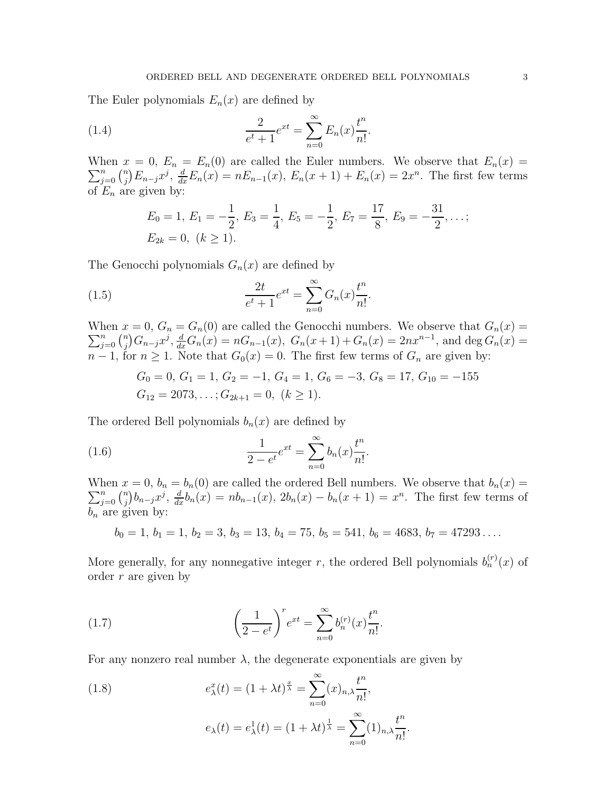The Euler polynomials  $E_n(x)$  are defined by

(1.4) 
$$
\frac{2}{e^t + 1} e^{xt} = \sum_{n=0}^{\infty} E_n(x) \frac{t^n}{n!}.
$$

 $\sum_{j=0}^n \binom{n}{j}$ When  $x = 0$ ,  $E_n = E_n(0)$  are called the Euler numbers. We observe that  $E_n(x) =$  $\sum_{j=0}^{n} E_{n-j} x^{j}, \frac{d}{dx} E_{n}(x) = n E_{n-1}(x), E_{n}(x+1) + E_{n}(x) = 2x^{n}.$  The first few terms of  $E_n$  are given by:

$$
E_0 = 1, E_1 = -\frac{1}{2}, E_3 = \frac{1}{4}, E_5 = -\frac{1}{2}, E_7 = \frac{17}{8}, E_9 = -\frac{31}{2}, \dots;
$$
  
 $E_{2k} = 0, (k \ge 1).$ 

The Genocchi polynomials  $G_n(x)$  are defined by

(1.5) 
$$
\frac{2t}{e^t + 1} e^{xt} = \sum_{n=0}^{\infty} G_n(x) \frac{t^n}{n!}.
$$

When  $x = 0$ ,  $G_n = G_n(0)$  are called the Genocchi numbers. We observe that  $G_n(x) =$  $\sum_{j=0}^n \binom{n}{j}$  $G_n^{\{n\}}G_{n-j}x^j, \frac{d}{dx}G_n(x) = nG_{n-1}(x), G_n(x+1) + G_n(x) = 2nx^{n-1}$ , and deg  $G_n(x) =$  $n-1$ , for  $n \geq 1$ . Note that  $G_0(x) = 0$ . The first few terms of  $G_n$  are given by:

$$
G_0 = 0
$$
,  $G_1 = 1$ ,  $G_2 = -1$ ,  $G_4 = 1$ ,  $G_6 = -3$ ,  $G_8 = 17$ ,  $G_{10} = -155$   
 $G_{12} = 2073$ ,...;  $G_{2k+1} = 0$ ,  $(k \ge 1)$ .

The ordered Bell polynomials  $b_n(x)$  are defined by

(1.6) 
$$
\frac{1}{2 - e^t} e^{xt} = \sum_{n=0}^{\infty} b_n(x) \frac{t^n}{n!}.
$$

When  $x = 0$ ,  $b_n = b_n(0)$  are called the ordered Bell numbers. We observe that  $b_n(x) =$  $\sum_{j=0}^n \binom{n}{j}$  $\int_a^b b_{n-j}x^j$ ,  $\frac{d}{dx}b_n(x) = nb_{n-1}(x)$ ,  $2b_n(x) - b_n(x+1) = x^n$ . The first few terms of  $b_n$  are given by:

 $b_0 = 1, b_1 = 1, b_2 = 3, b_3 = 13, b_4 = 75, b_5 = 541, b_6 = 4683, b_7 = 47293...$ 

More generally, for any nonnegative integer r, the ordered Bell polynomials  $b_n^{(r)}(x)$  of order r are given by

(1.7) 
$$
\left(\frac{1}{2-e^t}\right)^r e^{xt} = \sum_{n=0}^{\infty} b_n^{(r)}(x) \frac{t^n}{n!}.
$$

For any nonzero real number  $\lambda$ , the degenerate exponentials are given by

(1.8) 
$$
e_{\lambda}^{x}(t) = (1 + \lambda t)^{\frac{x}{\lambda}} = \sum_{n=0}^{\infty} (x)_{n,\lambda} \frac{t^{n}}{n!},
$$

$$
e_{\lambda}(t) = e_{\lambda}^{1}(t) = (1 + \lambda t)^{\frac{1}{\lambda}} = \sum_{n=0}^{\infty} (1)_{n,\lambda} \frac{t^{n}}{n!}.
$$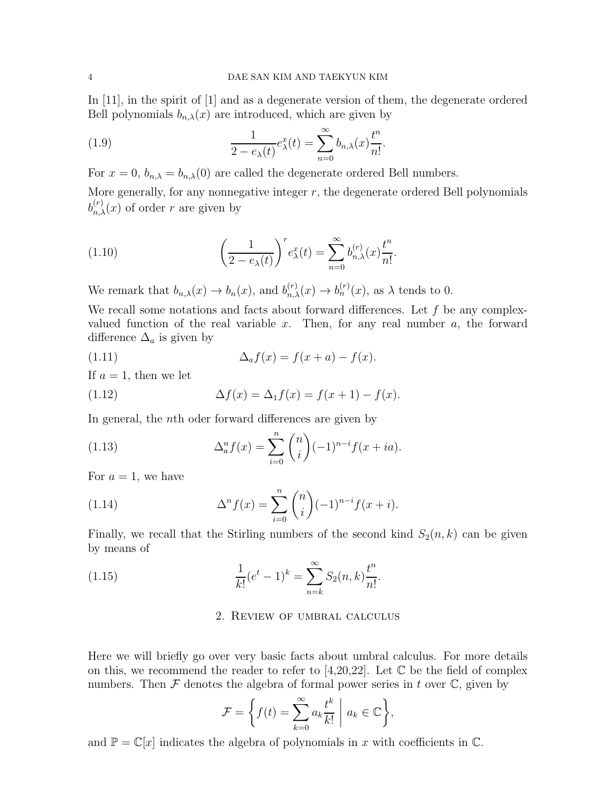In [11], in the spirit of [1] and as a degenerate version of them, the degenerate ordered Bell polynomials  $b_{n,\lambda}(x)$  are introduced, which are given by

<span id="page-3-0"></span>(1.9) 
$$
\frac{1}{2 - e_{\lambda}(t)} e_{\lambda}^{x}(t) = \sum_{n=0}^{\infty} b_{n,\lambda}(x) \frac{t^{n}}{n!}.
$$

For  $x = 0$ ,  $b_{n,\lambda} = b_{n,\lambda}(0)$  are called the degenerate ordered Bell numbers.

More generally, for any nonnegative integer  $r$ , the degenerate ordered Bell polynomials  $b_{n,\lambda}^{(r)}(x)$  of order r are given by

<span id="page-3-5"></span>(1.10) 
$$
\left(\frac{1}{2 - e_{\lambda}(t)}\right)^{r} e_{\lambda}^{x}(t) = \sum_{n=0}^{\infty} b_{n,\lambda}^{(r)}(x) \frac{t^{n}}{n!}.
$$

We remark that  $b_{n,\lambda}(x) \to b_n(x)$ , and  $b_{n,\lambda}^{(r)}(x) \to b_n^{(r)}(x)$ , as  $\lambda$  tends to 0.

We recall some notations and facts about forward differences. Let  $f$  be any complexvalued function of the real variable x. Then, for any real number  $a$ , the forward difference  $\Delta_a$  is given by

<span id="page-3-1"></span>(1.11) 
$$
\Delta_a f(x) = f(x+a) - f(x).
$$

If  $a = 1$ , then we let

<span id="page-3-2"></span>(1.12) 
$$
\Delta f(x) = \Delta_1 f(x) = f(x+1) - f(x).
$$

In general, the *n*<sup>th</sup> oder forward differences are given by

<span id="page-3-3"></span>(1.13) 
$$
\Delta_a^n f(x) = \sum_{i=0}^n \binom{n}{i} (-1)^{n-i} f(x+ia).
$$

For  $a = 1$ , we have

(1.14) 
$$
\Delta^n f(x) = \sum_{i=0}^n \binom{n}{i} (-1)^{n-i} f(x+i).
$$

Finally, we recall that the Stirling numbers of the second kind  $S_2(n, k)$  can be given by means of

(1.15) 
$$
\frac{1}{k!}(e^t - 1)^k = \sum_{n=k}^{\infty} S_2(n,k)\frac{t^n}{n!}.
$$

# <span id="page-3-4"></span>2. Review of umbral calculus

Here we will briefly go over very basic facts about umbral calculus. For more details on this, we recommend the reader to refer to [4,20,22]. Let  $\mathbb C$  be the field of complex numbers. Then  $\mathcal F$  denotes the algebra of formal power series in t over  $\mathbb C$ , given by

$$
\mathcal{F} = \left\{ f(t) = \sum_{k=0}^{\infty} a_k \frac{t^k}{k!} \middle| a_k \in \mathbb{C} \right\},\
$$

and  $\mathbb{P} = \mathbb{C}[x]$  indicates the algebra of polynomials in x with coefficients in  $\mathbb{C}$ .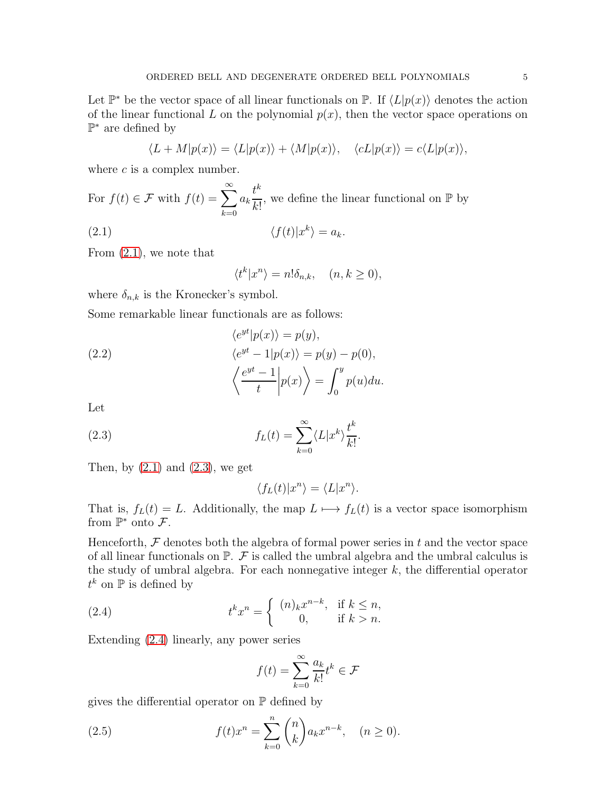Let  $\mathbb{P}^*$  be the vector space of all linear functionals on  $\mathbb{P}$ . If  $\langle L|p(x)\rangle$  denotes the action of the linear functional L on the polynomial  $p(x)$ , then the vector space operations on  $\mathbb{P}^*$  are defined by

$$
\langle L+M|p(x)\rangle = \langle L|p(x)\rangle + \langle M|p(x)\rangle, \quad \langle cL|p(x)\rangle = c\langle L|p(x)\rangle,
$$

where  $c$  is a complex number.

For 
$$
f(t) \in \mathcal{F}
$$
 with  $f(t) = \sum_{k=0}^{\infty} a_k \frac{t^k}{k!}$ , we define the linear functional on  $\mathbb{P}$  by

$$
\langle f(t)|x^k\rangle = a_k.
$$

From [\(2.1\)](#page-4-0), we note that

<span id="page-4-0"></span>
$$
\langle t^k | x^n \rangle = n! \delta_{n,k}, \quad (n, k \ge 0),
$$

where  $\delta_{n,k}$  is the Kronecker's symbol.

Some remarkable linear functionals are as follows:

(2.2)  
\n
$$
\langle e^{yt} | p(x) \rangle = p(y),
$$
\n
$$
\langle e^{yt} - 1 | p(x) \rangle = p(y) - p(0),
$$
\n
$$
\langle \frac{e^{yt} - 1}{t} | p(x) \rangle = \int_0^y p(u) du.
$$

Let

(2.3) 
$$
f_L(t) = \sum_{k=0}^{\infty} \langle L | x^k \rangle \frac{t^k}{k!}.
$$

Then, by  $(2.1)$  and  $(2.3)$ , we get

<span id="page-4-1"></span>
$$
\langle f_L(t)|x^n\rangle = \langle L|x^n\rangle.
$$

That is,  $f_L(t) = L$ . Additionally, the map  $L \mapsto f_L(t)$  is a vector space isomorphism from  $\mathbb{P}^*$  onto  $\mathcal{F}$ .

Henceforth,  $\mathcal F$  denotes both the algebra of formal power series in  $t$  and the vector space of all linear functionals on  $\mathbb{P}$ .  $\mathcal F$  is called the umbral algebra and the umbral calculus is the study of umbral algebra. For each nonnegative integer  $k$ , the differential operator  $t^k$  on  $\mathbb P$  is defined by

(2.4) 
$$
t^k x^n = \begin{cases} (n)_k x^{n-k}, & \text{if } k \leq n, \\ 0, & \text{if } k > n. \end{cases}
$$

Extending [\(2.4\)](#page-4-2) linearly, any power series

<span id="page-4-2"></span>
$$
f(t) = \sum_{k=0}^{\infty} \frac{a_k}{k!} t^k \in \mathcal{F}
$$

gives the differential operator on  $\mathbb P$  defined by

(2.5) 
$$
f(t)x^{n} = \sum_{k=0}^{n} {n \choose k} a_{k}x^{n-k}, \quad (n \ge 0).
$$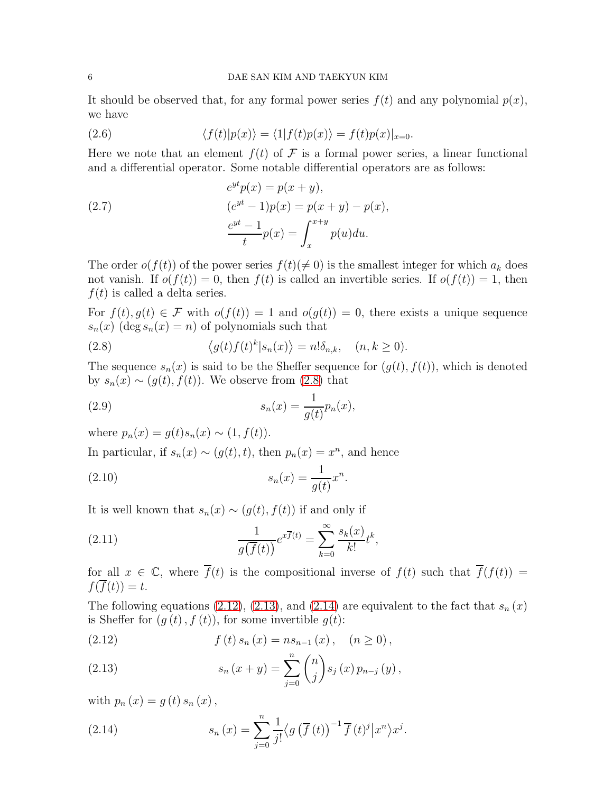It should be observed that, for any formal power series  $f(t)$  and any polynomial  $p(x)$ , we have

(2.6) 
$$
\langle f(t)|p(x)\rangle = \langle 1|f(t)p(x)\rangle = f(t)p(x)|_{x=0}.
$$

Here we note that an element  $f(t)$  of F is a formal power series, a linear functional and a differential operator. Some notable differential operators are as follows:

<span id="page-5-5"></span>(2.7) 
$$
e^{yt}p(x) = p(x + y), (e^{yt} - 1)p(x) = p(x + y) - p(x), \n\frac{e^{yt} - 1}{t}p(x) = \int_{x}^{x+y} p(u)du.
$$

The order  $o(f(t))$  of the power series  $f(t)(\neq 0)$  is the smallest integer for which  $a_k$  does not vanish. If  $o(f(t)) = 0$ , then  $f(t)$  is called an invertible series. If  $o(f(t)) = 1$ , then  $f(t)$  is called a delta series.

For  $f(t), g(t) \in \mathcal{F}$  with  $o(f(t)) = 1$  and  $o(g(t)) = 0$ , there exists a unique sequence  $s_n(x)$  (deg  $s_n(x) = n$ ) of polynomials such that

<span id="page-5-0"></span>(2.8) 
$$
\langle g(t)f(t)^k|s_n(x)\rangle = n!\delta_{n,k}, \quad (n,k \ge 0).
$$

The sequence  $s_n(x)$  is said to be the Sheffer sequence for  $(g(t), f(t))$ , which is denoted by  $s_n(x) \sim (g(t), f(t))$ . We observe from [\(2.8\)](#page-5-0) that

(2.9) 
$$
s_n(x) = \frac{1}{g(t)} p_n(x),
$$

where  $p_n(x) = q(t)s_n(x) \sim (1, f(t)).$ 

In particular, if  $s_n(x) \sim (g(t), t)$ , then  $p_n(x) = x^n$ , and hence

(2.10) 
$$
s_n(x) = \frac{1}{g(t)} x^n.
$$

It is well known that  $s_n(x) \sim (g(t), f(t))$  if and only if

<span id="page-5-4"></span>(2.11) 
$$
\frac{1}{g(\overline{f}(t))}e^{x\overline{f}(t)} = \sum_{k=0}^{\infty} \frac{s_k(x)}{k!}t^k,
$$

for all  $x \in \mathbb{C}$ , where  $\overline{f}(t)$  is the compositional inverse of  $f(t)$  such that  $\overline{f}(f(t)) =$  $f(\overline{f}(t))=t.$ 

The following equations [\(2.12\)](#page-5-1), [\(2.13\)](#page-5-2), and [\(2.14\)](#page-5-3) are equivalent to the fact that  $s_n(x)$ is Sheffer for  $(g(t), f(t))$ , for some invertible  $g(t)$ :

<span id="page-5-1"></span>(2.12) 
$$
f(t) s_n(x) = n s_{n-1}(x), \quad (n \ge 0),
$$

<span id="page-5-2"></span>(2.13) 
$$
s_n(x + y) = \sum_{j=0}^n \binom{n}{j} s_j(x) p_{n-j}(y),
$$

with  $p_n(x) = g(t) s_n(x)$ ,

<span id="page-5-3"></span>(2.14) 
$$
s_n(x) = \sum_{j=0}^n \frac{1}{j!} \langle g(\overline{f}(t))^{-1} \overline{f}(t)^j | x^n \rangle x^j.
$$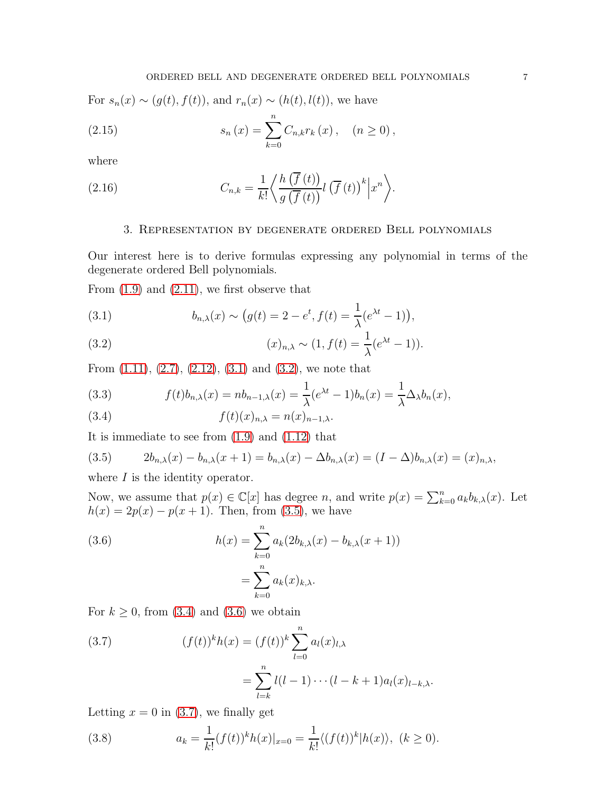For  $s_n(x) \sim (g(t), f(t))$ , and  $r_n(x) \sim (h(t), l(t))$ , we have

(2.15) 
$$
s_n(x) = \sum_{k=0}^n C_{n,k} r_k(x), \quad (n \ge 0),
$$

where

(2.16) 
$$
C_{n,k} = \frac{1}{k!} \left\langle \frac{h(\overline{f}(t))}{g(\overline{f}(t))} l(\overline{f}(t))^{k} | x^{n} \right\rangle.
$$

# <span id="page-6-7"></span>3. Representation by degenerate ordered Bell polynomials

Our interest here is to derive formulas expressing any polynomial in terms of the degenerate ordered Bell polynomials.

From [\(1.9\)](#page-3-0) and [\(2.11\)](#page-5-4), we first observe that

<span id="page-6-0"></span>(3.1) 
$$
b_{n,\lambda}(x) \sim (g(t) = 2 - e^t, f(t) = \frac{1}{\lambda} (e^{\lambda t} - 1)),
$$

<span id="page-6-1"></span>(3.2) 
$$
(x)_{n,\lambda} \sim (1, f(t) = \frac{1}{\lambda} (e^{\lambda t} - 1)).
$$

From  $(1.11)$ ,  $(2.7)$ ,  $(2.12)$ ,  $(3.1)$  and  $(3.2)$ , we note that

(3.3) 
$$
f(t)b_{n,\lambda}(x) = nb_{n-1,\lambda}(x) = \frac{1}{\lambda}(e^{\lambda t} - 1)b_n(x) = \frac{1}{\lambda}\Delta_{\lambda}b_n(x),
$$

<span id="page-6-3"></span>(3.4) 
$$
f(t)(x)_{n,\lambda} = n(x)_{n-1,\lambda}.
$$

It is immediate to see from [\(1.9\)](#page-3-0) and [\(1.12\)](#page-3-2) that

<span id="page-6-2"></span>(3.5) 
$$
2b_{n,\lambda}(x) - b_{n,\lambda}(x+1) = b_{n,\lambda}(x) - \Delta b_{n,\lambda}(x) = (I - \Delta)b_{n,\lambda}(x) = (x)_{n,\lambda},
$$

where  $I$  is the identity operator.

Now, we assume that  $p(x) \in \mathbb{C}[x]$  has degree n, and write  $p(x) = \sum_{k=0}^{n} a_k b_{k,\lambda}(x)$ . Let  $h(x) = 2p(x) - p(x + 1)$ . Then, from [\(3.5\)](#page-6-2), we have

<span id="page-6-4"></span>(3.6) 
$$
h(x) = \sum_{k=0}^{n} a_k (2b_{k,\lambda}(x) - b_{k,\lambda}(x+1))
$$

$$
= \sum_{k=0}^{n} a_k(x)_{k,\lambda}.
$$

For  $k \geq 0$ , from [\(3.4\)](#page-6-3) and [\(3.6\)](#page-6-4) we obtain

<span id="page-6-5"></span>(3.7) 
$$
(f(t))^k h(x) = (f(t))^k \sum_{l=0}^n a_l(x)_{l,\lambda} = \sum_{l=k}^n l(l-1) \cdots (l-k+1) a_l(x)_{l-k,\lambda}.
$$

Letting  $x = 0$  in [\(3.7\)](#page-6-5), we finally get

<span id="page-6-6"></span>(3.8) 
$$
a_k = \frac{1}{k!} (f(t))^k h(x)|_{x=0} = \frac{1}{k!} \langle (f(t))^k | h(x) \rangle, \ (k \ge 0).
$$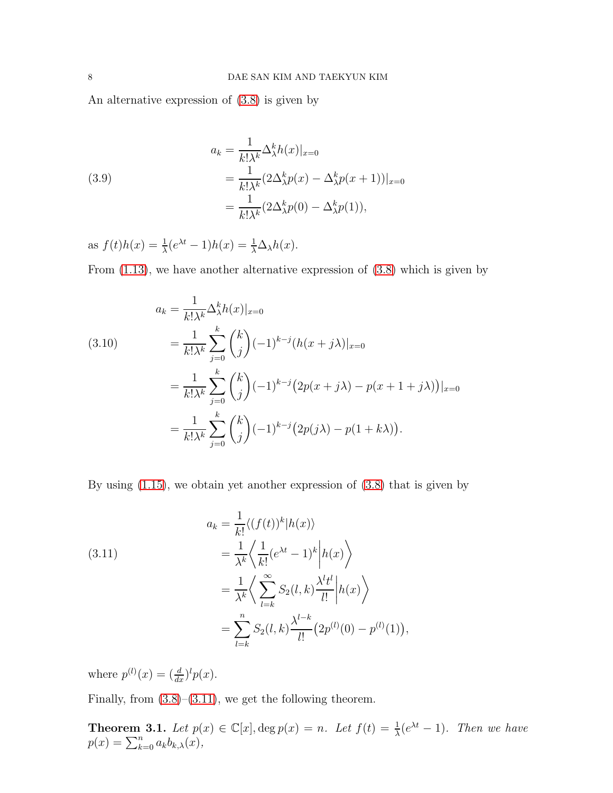An alternative expression of [\(3.8\)](#page-6-6) is given by

(3.9)  
\n
$$
a_k = \frac{1}{k!\lambda^k} \Delta_\lambda^k h(x)|_{x=0}
$$
\n
$$
= \frac{1}{k!\lambda^k} (2\Delta_\lambda^k p(x) - \Delta_\lambda^k p(x+1))|_{x=0}
$$
\n
$$
= \frac{1}{k!\lambda^k} (2\Delta_\lambda^k p(0) - \Delta_\lambda^k p(1)),
$$

as  $f(t)h(x) = \frac{1}{\lambda}(e^{\lambda t} - 1)h(x) = \frac{1}{\lambda}\Delta_{\lambda}h(x)$ .

From [\(1.13\)](#page-3-3), we have another alternative expression of [\(3.8\)](#page-6-6) which is given by

(3.10)  
\n
$$
a_k = \frac{1}{k!\lambda^k} \Delta_\lambda^k h(x)|_{x=0}
$$
\n
$$
= \frac{1}{k!\lambda^k} \sum_{j=0}^k {k \choose j} (-1)^{k-j} (h(x+j\lambda)|_{x=0}
$$
\n
$$
= \frac{1}{k!\lambda^k} \sum_{j=0}^k {k \choose j} (-1)^{k-j} (2p(x+j\lambda) - p(x+1+j\lambda))|_{x=0}
$$
\n
$$
= \frac{1}{k!\lambda^k} \sum_{j=0}^k {k \choose j} (-1)^{k-j} (2p(j\lambda) - p(1+k\lambda)).
$$

By using [\(1.15\)](#page-3-4), we obtain yet another expression of [\(3.8\)](#page-6-6) that is given by

<span id="page-7-0"></span>(3.11)  
\n
$$
a_k = \frac{1}{k!} \langle (f(t))^k | h(x) \rangle
$$
\n
$$
= \frac{1}{\lambda^k} \langle \frac{1}{k!} (e^{\lambda t} - 1)^k | h(x) \rangle
$$
\n
$$
= \frac{1}{\lambda^k} \langle \sum_{l=k}^{\infty} S_2(l, k) \frac{\lambda^l t^l}{l!} | h(x) \rangle
$$
\n
$$
= \sum_{l=k}^n S_2(l, k) \frac{\lambda^{l-k}}{l!} (2p^{(l)}(0) - p^{(l)}(1)),
$$

where  $p^{(l)}(x) = \left(\frac{d}{dx}\right)^l p(x)$ .

Finally, from  $(3.8)$ – $(3.11)$ , we get the following theorem.

**Theorem 3.1.** Let  $p(x) \in \mathbb{C}[x]$ ,  $\deg p(x) = n$ . Let  $f(t) = \frac{1}{\lambda}(e^{\lambda t} - 1)$ . Then we have  $p(x) = \sum_{k=0}^{n} a_k b_{k,\lambda}(x)$ ,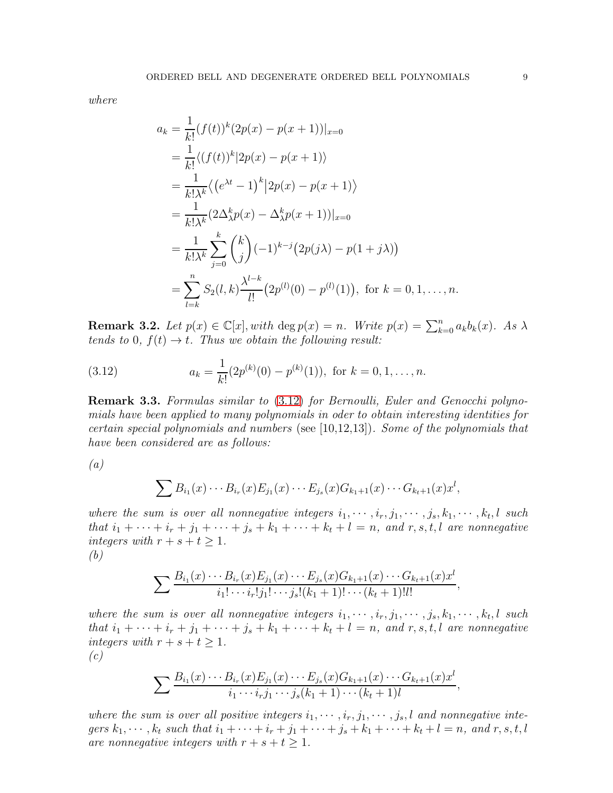*where*

$$
a_k = \frac{1}{k!} (f(t))^k (2p(x) - p(x+1))|_{x=0}
$$
  
=  $\frac{1}{k!} \langle (f(t))^k | 2p(x) - p(x+1) \rangle$   
=  $\frac{1}{k! \lambda^k} \langle (e^{\lambda t} - 1)^k | 2p(x) - p(x+1) \rangle$   
=  $\frac{1}{k! \lambda^k} (2\Delta_{\lambda}^k p(x) - \Delta_{\lambda}^k p(x+1))|_{x=0}$   
=  $\frac{1}{k! \lambda^k} \sum_{j=0}^k {k \choose j} (-1)^{k-j} (2p(j\lambda) - p(1+j\lambda))$   
=  $\sum_{l=k}^n S_2(l, k) \frac{\lambda^{l-k}}{l!} (2p^{(l)}(0) - p^{(l)}(1)), \text{ for } k = 0, 1, ..., n.$ 

**Remark 3.2.** Let  $p(x) \in \mathbb{C}[x]$ , with  $\deg p(x) = n$ . Write  $p(x) = \sum_{k=0}^{n} a_k b_k(x)$ . As  $\lambda$ *tends to* 0*,*  $f(t) \rightarrow t$ *. Thus we obtain the following result:* 

<span id="page-8-0"></span>(3.12) 
$$
a_k = \frac{1}{k!} (2p^{(k)}(0) - p^{(k)}(1)), \text{ for } k = 0, 1, ..., n.
$$

Remark 3.3. *Formulas similar to* [\(3.12\)](#page-8-0) *for Bernoulli, Euler and Genocchi polynomials have been applied to many polynomials in oder to obtain interesting identities for certain special polynomials and numbers* (see [10,12,13])*. Some of the polynomials that have been considered are as follows:*

*(a)*

$$
\sum B_{i_1}(x)\cdots B_{i_r}(x)E_{j_1}(x)\cdots E_{j_s}(x)G_{k_1+1}(x)\cdots G_{k_t+1}(x)x^l,
$$

where the sum is over all nonnegative integers  $i_1, \dots, i_r, j_1, \dots, j_s, k_1, \dots, k_t, l$  such *that*  $i_1 + \cdots + i_r + j_1 + \cdots + j_s + k_1 + \cdots + k_t + l = n$ *, and*  $r, s, t, l$  *are nonnegative integers with*  $r + s + t \geq 1$ *. (b)*

$$
\sum \frac{B_{i_1}(x)\cdots B_{i_r}(x)E_{j_1}(x)\cdots E_{j_s}(x)G_{k_1+1}(x)\cdots G_{k_t+1}(x)x^l}{i_1!\cdots i_r!j_1!\cdots j_s!(k_1+1)!\cdots (k_t+1)!l!}
$$

where the sum is over all nonnegative integers  $i_1, \dots, i_r, j_1, \dots, j_s, k_1, \dots, k_t, l$  such *that*  $i_1 + \cdots + i_r + j_1 + \cdots + j_s + k_1 + \cdots + k_t + l = n$ *, and*  $r, s, t, l$  *are nonnegative integers with*  $r + s + t \geq 1$ . *(c)*

,

$$
\sum \frac{B_{i_1}(x)\cdots B_{i_r}(x)E_{j_1}(x)\cdots E_{j_s}(x)G_{k_1+1}(x)\cdots G_{k_t+1}(x)x^l}{i_1\cdots i_r j_1\cdots j_s(k_1+1)\cdots (k_t+1)l},
$$

where the sum is over all positive integers  $i_1, \dots, i_r, j_1, \dots, j_s, l$  and nonnegative inte*gers*  $k_1, \dots, k_t$  *such that*  $i_1 + \dots + i_r + j_1 + \dots + j_s + k_1 + \dots + k_t + l = n$ *, and*  $r, s, t, l$ *are nonnegative integers with*  $r + s + t \geq 1$ *.*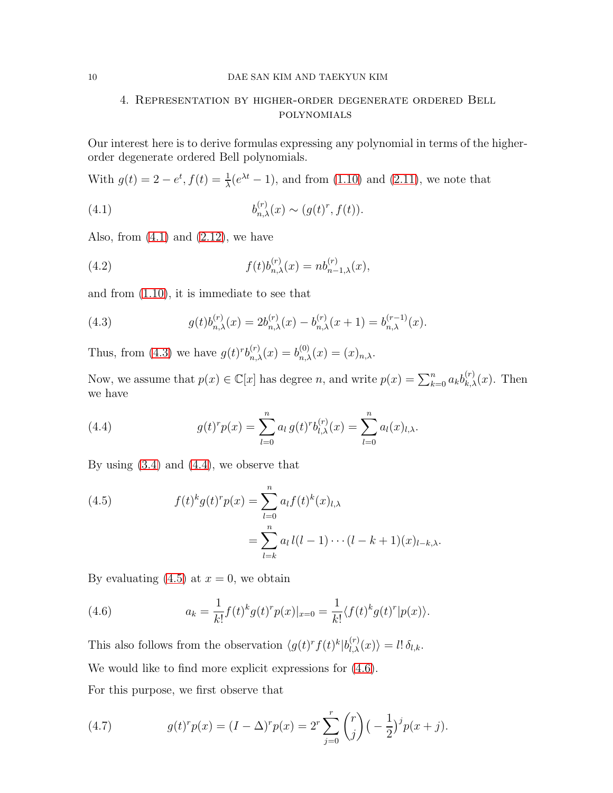# 4. Representation by higher-order degenerate ordered Bell polynomials

Our interest here is to derive formulas expressing any polynomial in terms of the higherorder degenerate ordered Bell polynomials.

With  $g(t) = 2 - e^t$ ,  $f(t) = \frac{1}{\lambda}(e^{\lambda t} - 1)$ , and from [\(1.10\)](#page-3-5) and [\(2.11\)](#page-5-4), we note that

<span id="page-9-0"></span>(4.1) 
$$
b_{n,\lambda}^{(r)}(x) \sim (g(t)^r, f(t)).
$$

Also, from  $(4.1)$  and  $(2.12)$ , we have

(4.2) 
$$
f(t)b_{n,\lambda}^{(r)}(x) = nb_{n-1,\lambda}^{(r)}(x),
$$

and from [\(1.10\)](#page-3-5), it is immediate to see that

<span id="page-9-1"></span>(4.3) 
$$
g(t)b_{n,\lambda}^{(r)}(x) = 2b_{n,\lambda}^{(r)}(x) - b_{n,\lambda}^{(r)}(x+1) = b_{n,\lambda}^{(r-1)}(x).
$$

Thus, from [\(4.3\)](#page-9-1) we have  $g(t)^{r}b_{n,\lambda}^{(r)}(x) = b_{n,\lambda}^{(0)}(x) = (x)_{n,\lambda}$ .

Now, we assume that  $p(x) \in \mathbb{C}[x]$  has degree n, and write  $p(x) = \sum_{k=0}^{n} a_k b_{k,\lambda}^{(r)}(x)$ . Then we have

<span id="page-9-2"></span>(4.4) 
$$
g(t)^{r} p(x) = \sum_{l=0}^{n} a_{l} g(t)^{r} b_{l,\lambda}^{(r)}(x) = \sum_{l=0}^{n} a_{l}(x)_{l,\lambda}.
$$

By using  $(3.4)$  and  $(4.4)$ , we observe that

<span id="page-9-3"></span>(4.5) 
$$
f(t)^{k} g(t)^{r} p(x) = \sum_{l=0}^{n} a_{l} f(t)^{k}(x)_{l,\lambda} = \sum_{l=k}^{n} a_{l} l(l-1) \cdots (l-k+1)(x)_{l-k,\lambda}.
$$

By evaluating  $(4.5)$  at  $x = 0$ , we obtain

<span id="page-9-4"></span>(4.6) 
$$
a_k = \frac{1}{k!} f(t)^k g(t)^r p(x)|_{x=0} = \frac{1}{k!} \langle f(t)^k g(t)^r | p(x) \rangle.
$$

This also follows from the observation  $\langle g(t)^r f(t)^k | b_{l,\lambda}^{(r)}(x) \rangle = l! \delta_{l,k}$ . We would like to find more explicit expressions for  $(4.6)$ . For this purpose, we first observe that

<span id="page-9-5"></span>(4.7) 
$$
g(t)^{r} p(x) = (I - \Delta)^{r} p(x) = 2^{r} \sum_{j=0}^{r} {r \choose j} \left(-\frac{1}{2}\right)^{j} p(x+j).
$$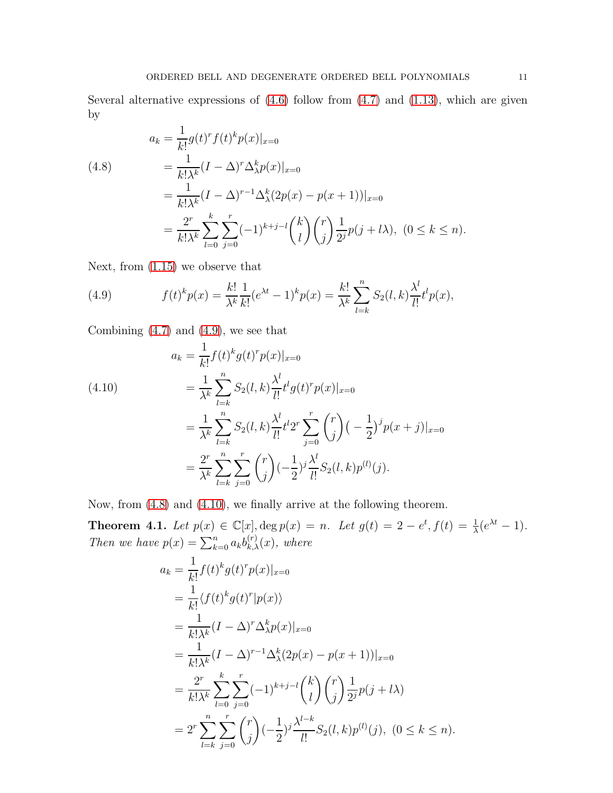Several alternative expressions of  $(4.6)$  follow from  $(4.7)$  and  $(1.13)$ , which are given by

<span id="page-10-1"></span>(4.8)  
\n
$$
a_k = \frac{1}{k!} g(t)^r f(t)^k p(x)|_{x=0}
$$
\n
$$
= \frac{1}{k! \lambda^k} (I - \Delta)^r \Delta_\lambda^k p(x)|_{x=0}
$$
\n
$$
= \frac{1}{k! \lambda^k} (I - \Delta)^{r-1} \Delta_\lambda^k (2p(x) - p(x+1))|_{x=0}
$$
\n
$$
= \frac{2^r}{k! \lambda^k} \sum_{l=0}^k \sum_{j=0}^r (-1)^{k+j-l} {k \choose l} {r \choose j} \frac{1}{2^j} p(j+l\lambda), \quad (0 \le k \le n).
$$

Next, from [\(1.15\)](#page-3-4) we observe that

<span id="page-10-0"></span>(4.9) 
$$
f(t)^k p(x) = \frac{k!}{\lambda^k} \frac{1}{k!} (e^{\lambda t} - 1)^k p(x) = \frac{k!}{\lambda^k} \sum_{l=k}^n S_2(l, k) \frac{\lambda^l}{l!} t^l p(x),
$$

Combining [\(4.7\)](#page-9-5) and [\(4.9\)](#page-10-0), we see that

<span id="page-10-2"></span>(4.10)  
\n
$$
a_k = \frac{1}{k!} f(t)^k g(t)^r p(x)|_{x=0}
$$
\n
$$
= \frac{1}{\lambda^k} \sum_{l=k}^n S_2(l, k) \frac{\lambda^l}{l!} t^l g(t)^r p(x)|_{x=0}
$$
\n
$$
= \frac{1}{\lambda^k} \sum_{l=k}^n S_2(l, k) \frac{\lambda^l}{l!} t^l 2^r \sum_{j=0}^r {r \choose j} \left(-\frac{1}{2}\right)^j p(x+j)|_{x=0}
$$
\n
$$
= \frac{2^r}{\lambda^k} \sum_{l=k}^n \sum_{j=0}^r {r \choose j} \left(-\frac{1}{2}\right)^j \frac{\lambda^l}{l!} S_2(l, k) p^{(l)}(j).
$$

Now, from [\(4.8\)](#page-10-1) and [\(4.10\)](#page-10-2), we finally arrive at the following theorem.

**Theorem 4.1.** Let  $p(x) \in \mathbb{C}[x]$ ,  $\deg p(x) = n$ . Let  $g(t) = 2 - e^t$ ,  $f(t) = \frac{1}{\lambda}(e^{\lambda t} - 1)$ . *Then we have*  $p(x) = \sum_{k=0}^{n} a_k b_{k,\lambda}^{(r)}(x)$ *, where* 

$$
a_k = \frac{1}{k!} f(t)^k g(t)^r p(x)|_{x=0}
$$
  
\n
$$
= \frac{1}{k!} \langle f(t)^k g(t)^r | p(x) \rangle
$$
  
\n
$$
= \frac{1}{k! \lambda^k} (I - \Delta)^r \Delta_\lambda^k p(x)|_{x=0}
$$
  
\n
$$
= \frac{1}{k! \lambda^k} (I - \Delta)^{r-1} \Delta_\lambda^k (2p(x) - p(x+1))|_{x=0}
$$
  
\n
$$
= \frac{2^r}{k! \lambda^k} \sum_{l=0}^k \sum_{j=0}^r (-1)^{k+j-l} {k \choose l} {r \choose j} \frac{1}{2^j} p(j+l\lambda)
$$
  
\n
$$
= 2^r \sum_{l=k}^n \sum_{j=0}^r {r \choose j} (-\frac{1}{2})^j \frac{\lambda^{l-k}}{l!} S_2(l,k) p^{(l)}(j), (0 \le k \le n).
$$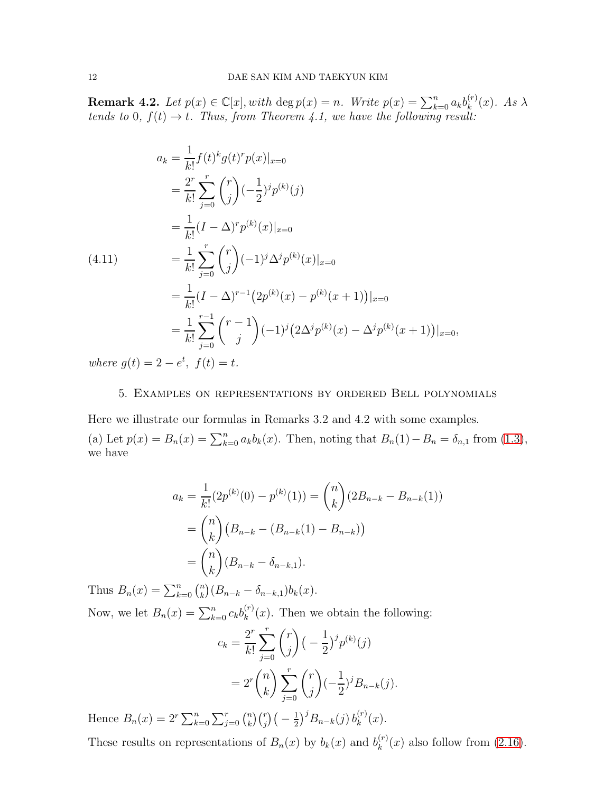**Remark 4.2.** *Let*  $p(x) \in \mathbb{C}[x]$ , *with*  $\deg p(x) = n$ *. Write*  $p(x) = \sum_{k=0}^{n} a_k b_k^{(r)}$  $\lambda_k^{(r)}(x)$ . *As*  $\lambda$ *tends to* 0*,*  $f(t) \rightarrow t$ . Thus, from Theorem 4.1, we have the following result:

<span id="page-11-0"></span>
$$
a_k = \frac{1}{k!} f(t)^k g(t)^r p(x)|_{x=0}
$$
  
\n
$$
= \frac{2^r}{k!} \sum_{j=0}^r \binom{r}{j} (-\frac{1}{2})^j p^{(k)}(j)
$$
  
\n
$$
= \frac{1}{k!} (I - \Delta)^r p^{(k)}(x)|_{x=0}
$$
  
\n(4.11)  
\n
$$
= \frac{1}{k!} \sum_{j=0}^r \binom{r}{j} (-1)^j \Delta^j p^{(k)}(x)|_{x=0}
$$
  
\n
$$
= \frac{1}{k!} (I - \Delta)^{r-1} (2p^{(k)}(x) - p^{(k)}(x+1))|_{x=0}
$$
  
\n
$$
= \frac{1}{k!} \sum_{j=0}^{r-1} \binom{r-1}{j} (-1)^j (2\Delta^j p^{(k)}(x) - \Delta^j p^{(k)}(x+1))|_{x=0},
$$

*where*  $g(t) = 2 - e^t$ ,  $f(t) = t$ .

### 5. Examples on representations by ordered Bell polynomials

Here we illustrate our formulas in Remarks 3.2 and 4.2 with some examples. (a) Let  $p(x) = B_n(x) = \sum_{k=0}^n a_k b_k(x)$ . Then, noting that  $B_n(1) - B_n = \delta_{n,1}$  from [\(1.3\)](#page-1-0), we have

$$
a_k = \frac{1}{k!} (2p^{(k)}(0) - p^{(k)}(1)) = {n \choose k} (2B_{n-k} - B_{n-k}(1))
$$
  
=  ${n \choose k} (B_{n-k} - (B_{n-k}(1) - B_{n-k}))$   
=  ${n \choose k} (B_{n-k} - \delta_{n-k,1}).$ 

Thus  $B_n(x) = \sum_{k=0}^n {n \choose k} (B_{n-k} - \delta_{n-k,1}) b_k(x)$ . k

Now, we let  $B_n(x) = \sum_{k=0}^n c_k b_k^{(r)}$  $k^{(r)}(x)$ . Then we obtain the following:

$$
c_k = \frac{2^r}{k!} \sum_{j=0}^r \binom{r}{j} \left(-\frac{1}{2}\right)^j p^{(k)}(j)
$$
  
= 
$$
2^r \binom{n}{k} \sum_{j=0}^r \binom{r}{j} \left(-\frac{1}{2}\right)^j B_{n-k}(j).
$$

Hence  $B_n(x) = 2^r \sum_{k=0}^n \sum_{j=0}^r {n \choose k}$  $\binom{n}{k}\binom{r}{j}\big(-\frac{1}{2}\big)$  $(\frac{1}{2})^j B_{n-k}(j) b_k^{(r)}$  $k^{(r)}(x).$ 

These results on representations of  $B_n(x)$  by  $b_k(x)$  and  $b_k^{(r)}$  $\binom{r}{k}(x)$  also follow from  $(2.16)$ .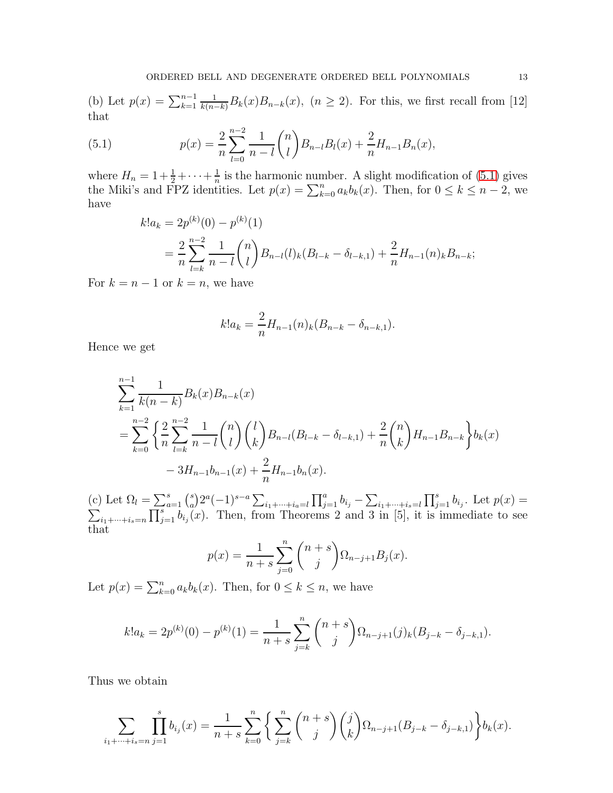(b) Let  $p(x) = \sum_{k=1}^{n-1} \frac{1}{k(n-k)} B_k(x) B_{n-k}(x)$ ,  $(n \ge 2)$ . For this, we first recall from [12] that

(5.1) 
$$
p(x) = \frac{2}{n} \sum_{l=0}^{n-2} \frac{1}{n-l} {n \choose l} B_{n-l} B_l(x) + \frac{2}{n} H_{n-1} B_n(x),
$$

where  $H_n = 1 + \frac{1}{2} + \cdots + \frac{1}{n}$  $\frac{1}{n}$  is the harmonic number. A slight modification of [\(5.1\)](#page-12-0) gives the Miki's and FPZ identities. Let  $p(x) = \sum_{k=0}^{n} a_k b_k(x)$ . Then, for  $0 \le k \le n-2$ , we have

<span id="page-12-0"></span>
$$
k!a_k = 2p^{(k)}(0) - p^{(k)}(1)
$$
  
= 
$$
\frac{2}{n} \sum_{l=k}^{n-2} \frac{1}{n-l} {n \choose l} B_{n-l}(l)_k (B_{l-k} - \delta_{l-k,1}) + \frac{2}{n} H_{n-1}(n)_k B_{n-k};
$$

For  $k = n - 1$  or  $k = n$ , we have

$$
k!a_k = \frac{2}{n}H_{n-1}(n)_k(B_{n-k} - \delta_{n-k,1}).
$$

Hence we get

$$
\sum_{k=1}^{n-1} \frac{1}{k(n-k)} B_k(x) B_{n-k}(x)
$$
  
= 
$$
\sum_{k=0}^{n-2} \left\{ \frac{2}{n} \sum_{l=k}^{n-2} \frac{1}{n-l} {n \choose l} {l \choose k} B_{n-l} (B_{l-k} - \delta_{l-k,1}) + \frac{2}{n} {n \choose k} H_{n-1} B_{n-k} \right\} b_k(x)
$$
  
- 
$$
3H_{n-1} b_{n-1}(x) + \frac{2}{n} H_{n-1} b_n(x).
$$

(c) Let  $\Omega_l = \sum_{a=1}^s \binom{s}{a}$ <sup>s</sup><sub>a</sub>)2<sup>*a*</sup>(-1)<sup>s-a</sup>  $\sum_{i_1+\cdots+i_a=l} \prod_{j=1}^a b_{i_j} - \sum_{i_1+\cdots+i_s=l} \prod_{j=1}^s b_{i_j}$ . Let  $p(x) =$  $\sum_{i_1+\cdots+i_s=n} \prod_{j=1}^s b_{i_j}(x)$ . Then, from Theorems 2 and 3 in [5], it is immediate to see that

$$
p(x) = \frac{1}{n+s} \sum_{j=0}^{n} {n+s \choose j} \Omega_{n-j+1} B_j(x).
$$

Let  $p(x) = \sum_{k=0}^{n} a_k b_k(x)$ . Then, for  $0 \le k \le n$ , we have

$$
k!a_k = 2p^{(k)}(0) - p^{(k)}(1) = \frac{1}{n+s} \sum_{j=k}^n {n+s \choose j} \Omega_{n-j+1}(j)_k (B_{j-k} - \delta_{j-k,1}).
$$

Thus we obtain

$$
\sum_{i_1+\dots+i_s=n} \prod_{j=1}^s b_{i_j}(x) = \frac{1}{n+s} \sum_{k=0}^n \left\{ \sum_{j=k}^n \binom{n+s}{j} \binom{j}{k} \Omega_{n-j+1}(B_{j-k} - \delta_{j-k,1}) \right\} b_k(x).
$$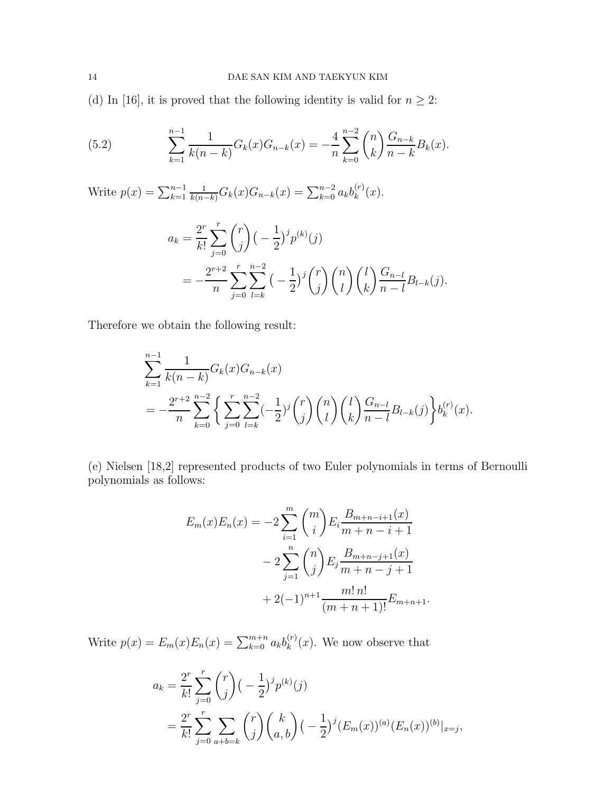(d) In [16], it is proved that the following identity is valid for  $n \geq 2$ :

(5.2) 
$$
\sum_{k=1}^{n-1} \frac{1}{k(n-k)} G_k(x) G_{n-k}(x) = -\frac{4}{n} \sum_{k=0}^{n-2} {n \choose k} \frac{G_{n-k}}{n-k} B_k(x).
$$

Write  $p(x) = \sum_{k=1}^{n-1}$  $\frac{1}{k(n-k)}G_k(x)G_{n-k}(x)=\sum_{k=0}^{n-2}a_kb_k^{(r)}$  $k^{(r)}(x).$ 

$$
a_k = \frac{2^r}{k!} \sum_{j=0}^r \binom{r}{j} \left(-\frac{1}{2}\right)^j p^{(k)}(j)
$$
  
= 
$$
-\frac{2^{r+2}}{n} \sum_{j=0}^r \sum_{l=k}^{n-2} \left(-\frac{1}{2}\right)^j \binom{r}{j} \binom{n}{l} \binom{l}{k} \frac{G_{n-l}}{n-l} B_{l-k}(j).
$$

Therefore we obtain the following result:

$$
\sum_{k=1}^{n-1} \frac{1}{k(n-k)} G_k(x) G_{n-k}(x)
$$
  
= 
$$
-\frac{2^{r+2}}{n} \sum_{k=0}^{n-2} \left\{ \sum_{j=0}^r \sum_{l=k}^{n-2} (-\frac{1}{2})^j \binom{r}{j} \binom{n}{l} \binom{l}{k} \frac{G_{n-l}}{n-l} B_{l-k}(j) \right\} b_k^{(r)}(x).
$$

(e) Nielsen [18,2] represented products of two Euler polynomials in terms of Bernoulli polynomials as follows:

$$
E_m(x)E_n(x) = -2\sum_{i=1}^m {m \choose i} E_i \frac{B_{m+n-i+1}(x)}{m+n-i+1}
$$
  

$$
-2\sum_{j=1}^n {n \choose j} E_j \frac{B_{m+n-j+1}(x)}{m+n-j+1}
$$
  

$$
+2(-1)^{n+1} \frac{m! n!}{(m+n+1)!} E_{m+n+1}.
$$

Write  $p(x) = E_m(x)E_n(x) = \sum_{k=0}^{m+n} a_k b_k^{(r)}$  $k^{(r)}(x)$ . We now observe that

$$
a_k = \frac{2^r}{k!} \sum_{j=0}^r \binom{r}{j} \left(-\frac{1}{2}\right)^j p^{(k)}(j)
$$
  
= 
$$
\frac{2^r}{k!} \sum_{j=0}^r \sum_{a+b=k} \binom{r}{j} \binom{k}{a,b} \left(-\frac{1}{2}\right)^j (E_m(x))^{(a)} (E_n(x))^{(b)}|_{x=j},
$$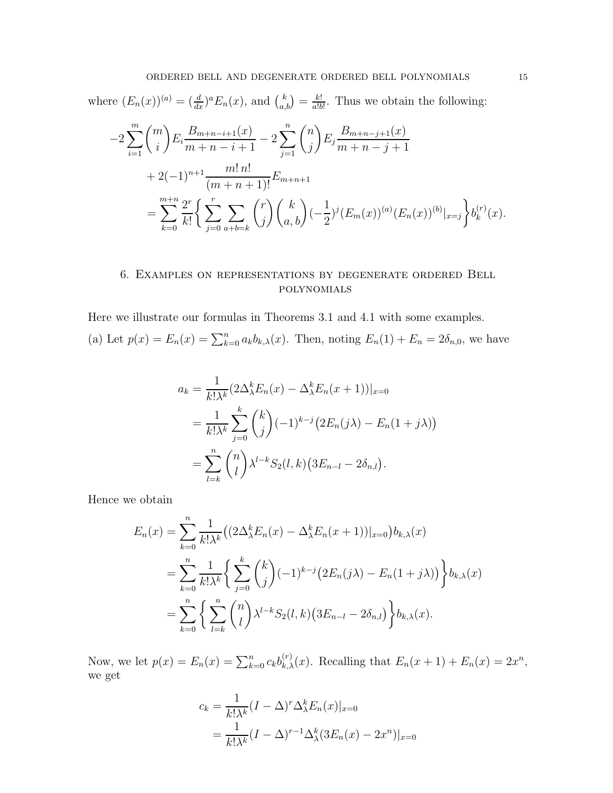where 
$$
(E_n(x))^{(a)} = \left(\frac{d}{dx}\right)^a E_n(x)
$$
, and  $\binom{k}{a,b} = \frac{k!}{a!b!}$ . Thus we obtain the following:  
\n
$$
-2\sum_{i=1}^m \binom{m}{i} E_i \frac{B_{m+n-i+1}(x)}{m+n-i+1} - 2\sum_{j=1}^n \binom{n}{j} E_j \frac{B_{m+n-j+1}(x)}{m+n-j+1} + 2(-1)^{n+1} \frac{m! \, n!}{(m+n+1)!} E_{m+n+1}
$$
\n
$$
= \sum_{k=0}^{m+n} \frac{2^r}{k!} \bigg\{ \sum_{j=0}^r \sum_{a+b=k} \binom{r}{j} \binom{k}{a,b} (-\frac{1}{2})^j (E_m(x))^{(a)} (E_n(x))^{(b)}|_{x=j} \bigg\} b_k^{(r)}(x).
$$

# 6. Examples on representations by degenerate ordered Bell polynomials

Here we illustrate our formulas in Theorems 3.1 and 4.1 with some examples. (a) Let  $p(x) = E_n(x) = \sum_{k=0}^n a_k b_{k,\lambda}(x)$ . Then, noting  $E_n(1) + E_n = 2\delta_{n,0}$ , we have

$$
a_k = \frac{1}{k! \lambda^k} (2\Delta_{\lambda}^k E_n(x) - \Delta_{\lambda}^k E_n(x+1))|_{x=0}
$$
  
= 
$$
\frac{1}{k! \lambda^k} \sum_{j=0}^k {k \choose j} (-1)^{k-j} (2E_n(j\lambda) - E_n(1+j\lambda))
$$
  
= 
$$
\sum_{l=k}^n {n \choose l} \lambda^{l-k} S_2(l,k) (3E_{n-l} - 2\delta_{n,l}).
$$

Hence we obtain

$$
E_n(x) = \sum_{k=0}^n \frac{1}{k!\lambda^k} \left( \left( 2\Delta_\lambda^k E_n(x) - \Delta_\lambda^k E_n(x+1) \right) |_{x=0} \right) b_{k,\lambda}(x)
$$
  
= 
$$
\sum_{k=0}^n \frac{1}{k!\lambda^k} \left\{ \sum_{j=0}^k {k \choose j} (-1)^{k-j} \left( 2E_n(j\lambda) - E_n(1+j\lambda) \right) \right\} b_{k,\lambda}(x)
$$
  
= 
$$
\sum_{k=0}^n \left\{ \sum_{l=k}^n {n \choose l} \lambda^{l-k} S_2(l,k) \left( 3E_{n-l} - 2\delta_{n,l} \right) \right\} b_{k,\lambda}(x).
$$

Now, we let  $p(x) = E_n(x) = \sum_{k=0}^n c_k b_{k,\lambda}^{(r)}(x)$ . Recalling that  $E_n(x + 1) + E_n(x) = 2x^n$ , we get

$$
c_k = \frac{1}{k!\lambda^k} (I - \Delta)^r \Delta_\lambda^k E_n(x)|_{x=0}
$$
  
= 
$$
\frac{1}{k!\lambda^k} (I - \Delta)^{r-1} \Delta_\lambda^k (3E_n(x) - 2x^n)|_{x=0}
$$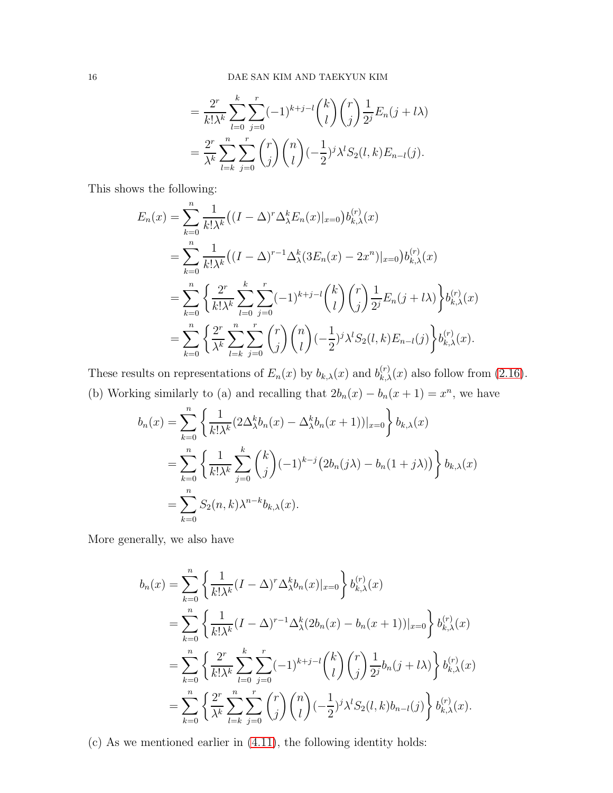$$
= \frac{2^r}{k!\lambda^k} \sum_{l=0}^k \sum_{j=0}^r (-1)^{k+j-l} {k \choose l} {r \choose j} \frac{1}{2^j} E_n(j+l\lambda)
$$
  

$$
= \frac{2^r}{\lambda^k} \sum_{l=k}^n \sum_{j=0}^r {r \choose j} {n \choose l} (-\frac{1}{2})^j \lambda^l S_2(l,k) E_{n-l}(j).
$$

This shows the following:

$$
E_n(x) = \sum_{k=0}^n \frac{1}{k!\lambda^k} \left( (I - \Delta)^r \Delta_\lambda^k E_n(x)|_{x=0} \right) b_{k,\lambda}^{(r)}(x)
$$
  
\n
$$
= \sum_{k=0}^n \frac{1}{k!\lambda^k} \left( (I - \Delta)^{r-1} \Delta_\lambda^k (3E_n(x) - 2x^n)|_{x=0} \right) b_{k,\lambda}^{(r)}(x)
$$
  
\n
$$
= \sum_{k=0}^n \left\{ \frac{2^r}{k!\lambda^k} \sum_{l=0}^k \sum_{j=0}^r (-1)^{k+j-l} {k \choose l} {r \choose j} \frac{1}{2^j} E_n(j+l\lambda) \right\} b_{k,\lambda}^{(r)}(x)
$$
  
\n
$$
= \sum_{k=0}^n \left\{ \frac{2^r}{\lambda^k} \sum_{l=k}^n \sum_{j=0}^r {r \choose j} {n \choose l} (-\frac{1}{2})^j \lambda^l S_2(l,k) E_{n-l}(j) \right\} b_{k,\lambda}^{(r)}(x).
$$

These results on representations of  $E_n(x)$  by  $b_{k,\lambda}(x)$  and  $b_{k,\lambda}^{(r)}(x)$  also follow from [\(2.16\)](#page-6-7). (b) Working similarly to (a) and recalling that  $2b_n(x) - b_n(x+1) = x^n$ , we have

$$
b_n(x) = \sum_{k=0}^n \left\{ \frac{1}{k! \lambda^k} (2 \Delta_\lambda^k b_n(x) - \Delta_\lambda^k b_n(x+1))|_{x=0} \right\} b_{k,\lambda}(x)
$$
  
= 
$$
\sum_{k=0}^n \left\{ \frac{1}{k! \lambda^k} \sum_{j=0}^k {k \choose j} (-1)^{k-j} (2b_n(j\lambda) - b_n(1+j\lambda)) \right\} b_{k,\lambda}(x)
$$
  
= 
$$
\sum_{k=0}^n S_2(n,k) \lambda^{n-k} b_{k,\lambda}(x).
$$

More generally, we also have

$$
b_n(x) = \sum_{k=0}^n \left\{ \frac{1}{k!\lambda^k} (I - \Delta)^r \Delta_\lambda^k b_n(x)|_{x=0} \right\} b_{k,\lambda}^{(r)}(x)
$$
  
\n
$$
= \sum_{k=0}^n \left\{ \frac{1}{k!\lambda^k} (I - \Delta)^{r-1} \Delta_\lambda^k (2b_n(x) - b_n(x+1))|_{x=0} \right\} b_{k,\lambda}^{(r)}(x)
$$
  
\n
$$
= \sum_{k=0}^n \left\{ \frac{2^r}{k!\lambda^k} \sum_{l=0}^k \sum_{j=0}^r (-1)^{k+j-l} {k \choose l} {r \choose j} \frac{1}{2^j} b_n(j+l\lambda) \right\} b_{k,\lambda}^{(r)}(x)
$$
  
\n
$$
= \sum_{k=0}^n \left\{ \frac{2^r}{\lambda^k} \sum_{l=k}^n \sum_{j=0}^r {r \choose j} {n \choose l} (-\frac{1}{2})^j \lambda^l S_2(l,k) b_{n-l}(j) \right\} b_{k,\lambda}^{(r)}(x).
$$

(c) As we mentioned earlier in [\(4.11\)](#page-11-0), the following identity holds: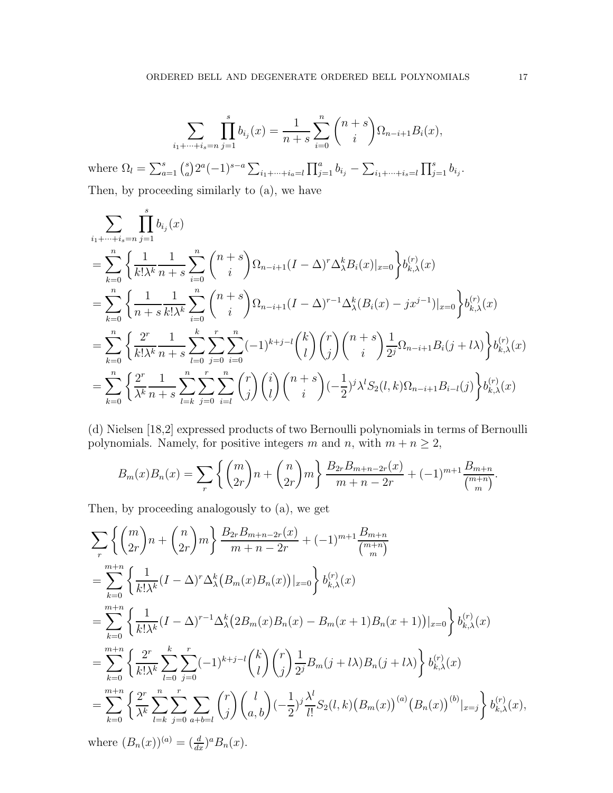$$
\sum_{i_1 + \dots + i_s = n} \prod_{j=1}^s b_{i_j}(x) = \frac{1}{n+s} \sum_{i=0}^n {n+s \choose i} \Omega_{n-i+1} B_i(x),
$$

where  $\Omega_l = \sum_{a=1}^s \binom{s}{a}$ <sup>s</sup><sub>a</sub>)2<sup>*a*</sup>(−1)<sup>*s*-*a*</sup> $\sum_{i_1+\cdots+i_a=l} \prod_{j=1}^a b_{i_j} - \sum_{i_1+\cdots+i_s=l} \prod_{j=1}^s b_{i_j}.$ Then, by proceeding similarly to (a), we have

$$
\sum_{i_1+\dots+i_s=n} \prod_{j=1}^s b_{i_j}(x)
$$
\n
$$
= \sum_{k=0}^n \left\{ \frac{1}{k!\lambda^k} \frac{1}{n+s} \sum_{i=0}^n {n+s \choose i} \Omega_{n-i+1} (I - \Delta)^r \Delta_\lambda^k B_i(x)|_{x=0} \right\} b_{k,\lambda}^{(r)}(x)
$$
\n
$$
= \sum_{k=0}^n \left\{ \frac{1}{n+s} \frac{1}{k!\lambda^k} \sum_{i=0}^n {n+s \choose i} \Omega_{n-i+1} (I - \Delta)^{r-1} \Delta_\lambda^k (B_i(x) - jx^{j-1})|_{x=0} \right\} b_{k,\lambda}^{(r)}(x)
$$
\n
$$
= \sum_{k=0}^n \left\{ \frac{2^r}{k!\lambda^k} \frac{1}{n+s} \sum_{l=0}^k \sum_{j=0}^r \sum_{i=0}^n (-1)^{k+j-l} {k \choose l} {r \choose j} {n+s \choose i} \frac{1}{2^j} \Omega_{n-i+1} B_i(j+l\lambda) \right\} b_{k,\lambda}^{(r)}(x)
$$
\n
$$
= \sum_{k=0}^n \left\{ \frac{2^r}{\lambda^k} \frac{1}{n+s} \sum_{l=k}^n \sum_{j=0}^r \sum_{i=l}^n {r \choose j} {i \choose l} {n+s \choose i} (-\frac{1}{2})^j \lambda^l S_2(l,k) \Omega_{n-i+1} B_{i-l}(j) \right\} b_{k,\lambda}^{(r)}(x)
$$

(d) Nielsen [18,2] expressed products of two Bernoulli polynomials in terms of Bernoulli polynomials. Namely, for positive integers m and n, with  $m + n \geq 2$ ,

$$
B_m(x)B_n(x) = \sum_r \left\{ {m \choose 2r} n + {n \choose 2r} m \right\} \frac{B_{2r}B_{m+n-2r}(x)}{m+n-2r} + (-1)^{m+1} \frac{B_{m+n}}{m+n}.
$$

Then, by proceeding analogously to (a), we get

$$
\sum_{r} \left\{ {m \choose 2r} n + {n \choose 2r} m \right\} \frac{B_{2r}B_{m+n-2r}(x)}{m+n-2r} + (-1)^{m+1} \frac{B_{m+n}}{m+n}
$$
\n
$$
= \sum_{k=0}^{m+n} \left\{ \frac{1}{k!\lambda^{k}} (I - \Delta)^{r} \Delta_{\lambda}^{k} (B_{m}(x)B_{n}(x))|_{x=0} \right\} b_{k,\lambda}^{(r)}(x)
$$
\n
$$
= \sum_{k=0}^{m+n} \left\{ \frac{1}{k!\lambda^{k}} (I - \Delta)^{r-1} \Delta_{\lambda}^{k} (2B_{m}(x)B_{n}(x) - B_{m}(x+1)B_{n}(x+1))|_{x=0} \right\} b_{k,\lambda}^{(r)}(x)
$$
\n
$$
= \sum_{k=0}^{m+n} \left\{ \frac{2^{r}}{k!\lambda^{k}} \sum_{l=0}^{k} \sum_{j=0}^{r} (-1)^{k+j-l} {k \choose l} {r \choose j} \frac{1}{2^{j}} B_{m}(j+l\lambda) B_{n}(j+l\lambda) \right\} b_{k,\lambda}^{(r)}(x)
$$
\n
$$
= \sum_{k=0}^{m+n} \left\{ \frac{2^{r}}{\lambda^{k}} \sum_{l=k}^{n} \sum_{j=0}^{r} \sum_{a+b=l} {r \choose j} {l \choose a,b} (-\frac{1}{2})^{j} \frac{\lambda^{l}}{l!} S_{2}(l,k) (B_{m}(x))^{(a)} (B_{n}(x))^{(b)}|_{x=j} \right\} b_{k,\lambda}^{(r)}(x),
$$
\nwhere  $(B_{n}(x))^{(a)} = (\frac{d}{dx})^{a} B_{n}(x).$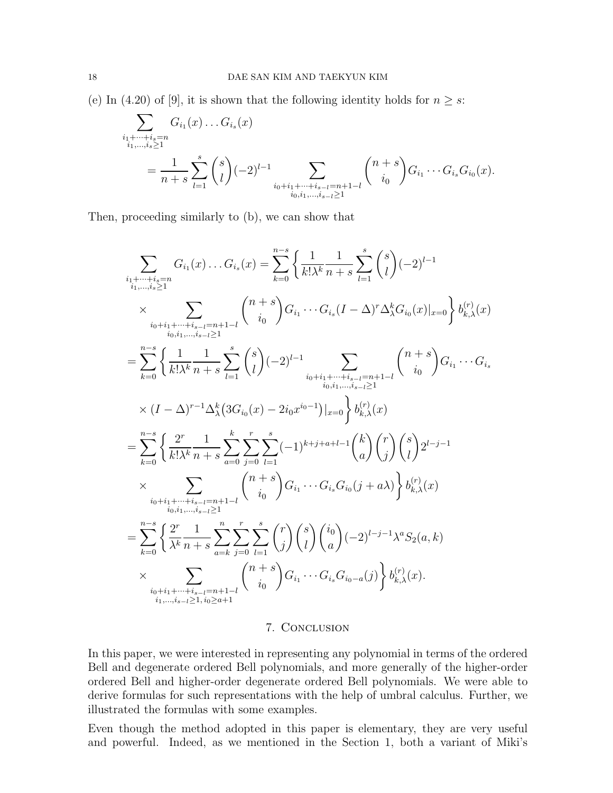(e) In (4.20) of [9], it is shown that the following identity holds for  $n \geq s$ :

$$
\sum_{\substack{i_1+\dots+i_s=n\\i_1,\dots,i_s\geq 1}} G_{i_1}(x) \dots G_{i_s}(x)
$$
\n
$$
= \frac{1}{n+s} \sum_{l=1}^s {s \choose l} (-2)^{l-1} \sum_{\substack{i_0+i_1+\dots+i_{s-l}=n+1-l\\i_0,i_1,\dots,i_{s-l}\geq 1}} {n+s \choose i_0} G_{i_1} \cdots G_{i_s} G_{i_0}(x).
$$

Then, proceeding similarly to (b), we can show that

$$
\sum_{\substack{i_1+\cdots+i_s=n\\i_1,\ldots,i_s\geq 1}} G_{i_1}(x) \ldots G_{i_s}(x) = \sum_{k=0}^{n-s} \left\{ \frac{1}{k!\lambda^k} \frac{1}{n+s} \sum_{l=1}^s {s \choose l} (-2)^{l-1} \right\}
$$
\n
$$
\times \sum_{\substack{i_0+i_1+\cdots+i_{s-1}=n+1-l\\i_0,i_1,\ldots,i_s\geq 1}} {n+s \choose k!} G_{i_1} \ldots G_{i_s} (I-\Delta)^r \Delta^k_{\lambda} G_{i_0}(x)|_{x=0} \right\} b_{k,\lambda}^{(r)}(x)
$$
\n
$$
= \sum_{k=0}^{n-s} \left\{ \frac{1}{k!\lambda^k} \frac{1}{n+s} \sum_{l=1}^s {s \choose l} (-2)^{l-1} \sum_{\substack{i_0+i_1+\cdots+i_{s-1}=n+1-l\\i_0,i_1,\ldots,i_{s-1}\geq 1}} {n+s \choose k!} G_{i_1} \ldots G_{i_s}
$$
\n
$$
\times (I-\Delta)^{r-1} \Delta^k_{\lambda} (3G_{i_0}(x) - 2i_0 x^{i_0-1})|_{x=0} \right\} b_{k,\lambda}^{(r)}(x)
$$
\n
$$
= \sum_{k=0}^{n-s} \left\{ \frac{2^r}{k!\lambda^k} \frac{1}{n+s} \sum_{a=0}^k \sum_{j=0}^r \sum_{l=1}^s (-1)^{k+j+a+l-1} {k \choose a} {r \choose j} {s \choose l} 2^{l-j-1}
$$
\n
$$
\times \sum_{\substack{i_0+i_1+\cdots+i_{s-1}=n+1-l\\i_0,i_1,\ldots,i_{s-1}\geq 1}} {n+s \choose k} G_{i_1} \ldots G_{i_s} G_{i_0}(j+a\lambda) \right\} b_{k,\lambda}^{(r)}(x)
$$
\n
$$
= \sum_{k=0}^{n-s} \left\{ \frac{2^r}{\lambda^k} \frac{1}{n+s} \sum_{a=k}^n \sum_{j=0}^r \sum_{l=1}^s {r \choose j} {s \choose l} {i_0 \choose a} (-2)^{l-j-1} \lambda^a S_
$$

# 7. Conclusion

In this paper, we were interested in representing any polynomial in terms of the ordered Bell and degenerate ordered Bell polynomials, and more generally of the higher-order ordered Bell and higher-order degenerate ordered Bell polynomials. We were able to derive formulas for such representations with the help of umbral calculus. Further, we illustrated the formulas with some examples.

Even though the method adopted in this paper is elementary, they are very useful and powerful. Indeed, as we mentioned in the Section 1, both a variant of Miki's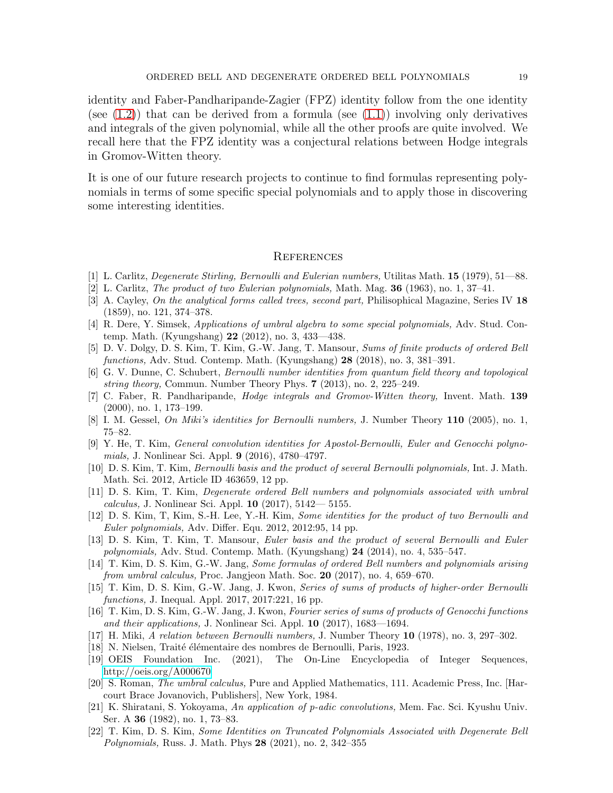identity and Faber-Pandharipande-Zagier (FPZ) identity follow from the one identity (see  $(1.2)$ ) that can be derived from a formula (see  $(1.1)$ ) involving only derivatives and integrals of the given polynomial, while all the other proofs are quite involved. We recall here that the FPZ identity was a conjectural relations between Hodge integrals in Gromov-Witten theory.

It is one of our future research projects to continue to find formulas representing polynomials in terms of some specific special polynomials and to apply those in discovering some interesting identities.

#### **REFERENCES**

- [1] L. Carlitz, Degenerate Stirling, Bernoulli and Eulerian numbers, Utilitas Math. 15 (1979), 51—88.
- [2] L. Carlitz, The product of two Eulerian polynomials, Math. Mag. 36 (1963), no. 1, 37–41.
- [3] A. Cayley, On the analytical forms called trees, second part, Philisophical Magazine, Series IV 18 (1859), no. 121, 374–378.
- [4] R. Dere, Y. Simsek, Applications of umbral algebra to some special polynomials, Adv. Stud. Contemp. Math. (Kyungshang) 22 (2012), no. 3, 433—438.
- [5] D. V. Dolgy, D. S. Kim, T. Kim, G.-W. Jang, T. Mansour, Sums of finite products of ordered Bell functions, Adv. Stud. Contemp. Math. (Kyungshang) 28 (2018), no. 3, 381–391.
- [6] G. V. Dunne, C. Schubert, Bernoulli number identities from quantum field theory and topological string theory, Commun. Number Theory Phys. 7 (2013), no. 2, 225–249.
- [7] C. Faber, R. Pandharipande, Hodge integrals and Gromov-Witten theory, Invent. Math. 139 (2000), no. 1, 173–199.
- [8] I. M. Gessel, On Miki's identities for Bernoulli numbers, J. Number Theory 110 (2005), no. 1, 75–82.
- [9] Y. He, T. Kim, General convolution identities for Apostol-Bernoulli, Euler and Genocchi polynomials, J. Nonlinear Sci. Appl. 9 (2016), 4780–4797.
- [10] D. S. Kim, T. Kim, Bernoulli basis and the product of several Bernoulli polynomials, Int. J. Math. Math. Sci. 2012, Article ID 463659, 12 pp.
- [11] D. S. Kim, T. Kim, Degenerate ordered Bell numbers and polynomials associated with umbral *calculus*, J. Nonlinear Sci. Appl. **10** (2017),  $5142 - 5155$ .
- [12] D. S. Kim, T, Kim, S.-H. Lee, Y.-H. Kim, Some identities for the product of two Bernoulli and Euler polynomials, Adv. Differ. Equ. 2012, 2012:95, 14 pp.
- [13] D. S. Kim, T. Kim, T. Mansour, Euler basis and the product of several Bernoulli and Euler polynomials, Adv. Stud. Contemp. Math. (Kyungshang) 24 (2014), no. 4, 535–547.
- [14] T. Kim, D. S. Kim, G.-W. Jang, Some formulas of ordered Bell numbers and polynomials arising from umbral calculus, Proc. Jangjeon Math. Soc. 20  $(2017)$ , no. 4, 659–670.
- [15] T. Kim, D. S. Kim, G.-W. Jang, J. Kwon, Series of sums of products of higher-order Bernoulli functions, J. Inequal. Appl. 2017, 2017:221, 16 pp.
- [16] T. Kim, D. S. Kim, G.-W. Jang, J. Kwon, Fourier series of sums of products of Genocchi functions and their applications, J. Nonlinear Sci. Appl.  $10$  (2017), 1683-1694.
- [17] H. Miki, A relation between Bernoulli numbers, J. Number Theory 10 (1978), no. 3, 297–302.
- [18] N. Nielsen, Traité élémentaire des nombres de Bernoulli, Paris, 1923.
- [19] OEIS Foundation Inc. (2021), The On-Line Encyclopedia of Integer Sequences, [http://oeis.org/A000670.](http://oeis.org/A000670)
- [20] S. Roman, The umbral calculus, Pure and Applied Mathematics, 111. Academic Press, Inc. [Harcourt Brace Jovanovich, Publishers], New York, 1984.
- [21] K. Shiratani, S. Yokoyama, An application of p-adic convolutions, Mem. Fac. Sci. Kyushu Univ. Ser. A 36 (1982), no. 1, 73–83.
- [22] T. Kim, D. S. Kim, Some Identities on Truncated Polynomials Associated with Degenerate Bell Polynomials, Russ. J. Math. Phys 28 (2021), no. 2, 342-355